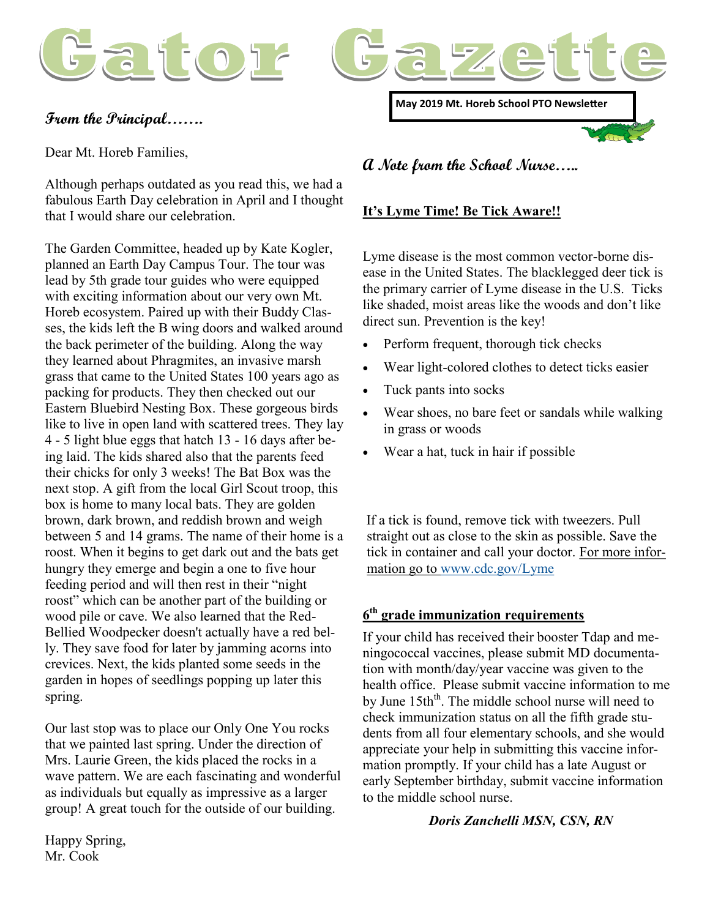



# **From the Principal…….**

Dear Mt. Horeb Families,

Although perhaps outdated as you read this, we had a fabulous Earth Day celebration in April and I thought that I would share our celebration.

The Garden Committee, headed up by Kate Kogler, planned an Earth Day Campus Tour. The tour was lead by 5th grade tour guides who were equipped with exciting information about our very own Mt. Horeb ecosystem. Paired up with their Buddy Classes, the kids left the B wing doors and walked around the back perimeter of the building. Along the way they learned about Phragmites, an invasive marsh grass that came to the United States 100 years ago as packing for products. They then checked out our Eastern Bluebird Nesting Box. These gorgeous birds like to live in open land with scattered trees. They lay 4 - 5 light blue eggs that hatch 13 - 16 days after being laid. The kids shared also that the parents feed their chicks for only 3 weeks! The Bat Box was the next stop. A gift from the local Girl Scout troop, this box is home to many local bats. They are golden brown, dark brown, and reddish brown and weigh between 5 and 14 grams. The name of their home is a roost. When it begins to get dark out and the bats get hungry they emerge and begin a one to five hour feeding period and will then rest in their "night roost" which can be another part of the building or wood pile or cave. We also learned that the Red-Bellied Woodpecker doesn't actually have a red belly. They save food for later by jamming acorns into crevices. Next, the kids planted some seeds in the garden in hopes of seedlings popping up later this spring.

Our last stop was to place our Only One You rocks that we painted last spring. Under the direction of Mrs. Laurie Green, the kids placed the rocks in a wave pattern. We are each fascinating and wonderful as individuals but equally as impressive as a larger group! A great touch for the outside of our building.

**May 2019 Mt. Horeb School PTO Newsletter**

**A Note from the School Nurse…..**

# **It's Lyme Time! Be Tick Aware!!**

Lyme disease is the most common vector-borne disease in the United States. The blacklegged deer tick is the primary carrier of Lyme disease in the U.S. Ticks like shaded, moist areas like the woods and don't like direct sun. Prevention is the key!

- Perform frequent, thorough tick checks
- Wear light-colored clothes to detect ticks easier
- Tuck pants into socks
- Wear shoes, no bare feet or sandals while walking in grass or woods
- Wear a hat, tuck in hair if possible

If a tick is found, remove tick with tweezers. Pull straight out as close to the skin as possible. Save the tick in container and call your doctor. For more information go to [www.cdc.gov/Lyme](http://www.cdc.gov/Lyme)

# **6 th grade immunization requirements**

If your child has received their booster Tdap and meningococcal vaccines, please submit MD documentation with month/day/year vaccine was given to the health office. Please submit vaccine information to me by June 15th<sup>th</sup>. The middle school nurse will need to check immunization status on all the fifth grade students from all four elementary schools, and she would appreciate your help in submitting this vaccine information promptly. If your child has a late August or early September birthday, submit vaccine information to the middle school nurse.

#### *Doris Zanchelli MSN, CSN, RN*

Happy Spring, Mr. Cook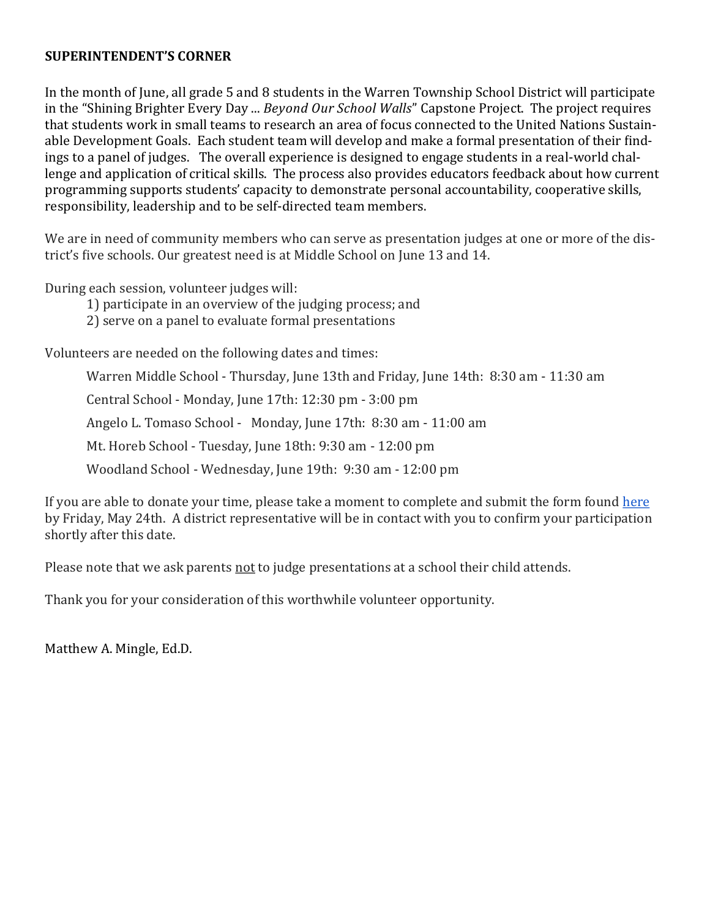### **SUPERINTENDENT'S CORNER**

In the month of June, all grade 5 and 8 students in the Warren Township School District will participate in the "Shining Brighter Every Day ... *Beyond Our School Walls*" Capstone Project. The project requires that students work in small teams to research an area of focus connected to the United Nations Sustainable Development Goals. Each student team will develop and make a formal presentation of their findings to a panel of judges. The overall experience is designed to engage students in a real-world challenge and application of critical skills. The process also provides educators feedback about how current programming supports students' capacity to demonstrate personal accountability, cooperative skills, responsibility, leadership and to be self-directed team members.

We are in need of community members who can serve as presentation judges at one or more of the district's five schools. Our greatest need is at Middle School on June 13 and 14.

During each session, volunteer judges will:

1) participate in an overview of the judging process; and

2) serve on a panel to evaluate formal presentations

Volunteers are needed on the following dates and times:

Warren Middle School - Thursday, June 13th and Friday, June 14th: 8:30 am - 11:30 am Central School - Monday, June 17th: 12:30 pm - 3:00 pm Angelo L. Tomaso School - Monday, June 17th: 8:30 am - 11:00 am Mt. Horeb School - Tuesday, June 18th: 9:30 am - 12:00 pm Woodland School - Wednesday, June 19th: 9:30 am - 12:00 pm

If you are able to donate your time, please take a moment to complete and submit the form found [here](https://docs.google.com/forms/d/e/1FAIpQLSfqQVCjJykx_iSScbvCC4yJ7K-7Q-Sm7GDZOIYMxmtz3gZTlA/viewform?usp=sf_link) by Friday, May 24th. A district representative will be in contact with you to confirm your participation shortly after this date.

Please note that we ask parents not to judge presentations at a school their child attends.

Thank you for your consideration of this worthwhile volunteer opportunity.

Matthew A. Mingle, Ed.D.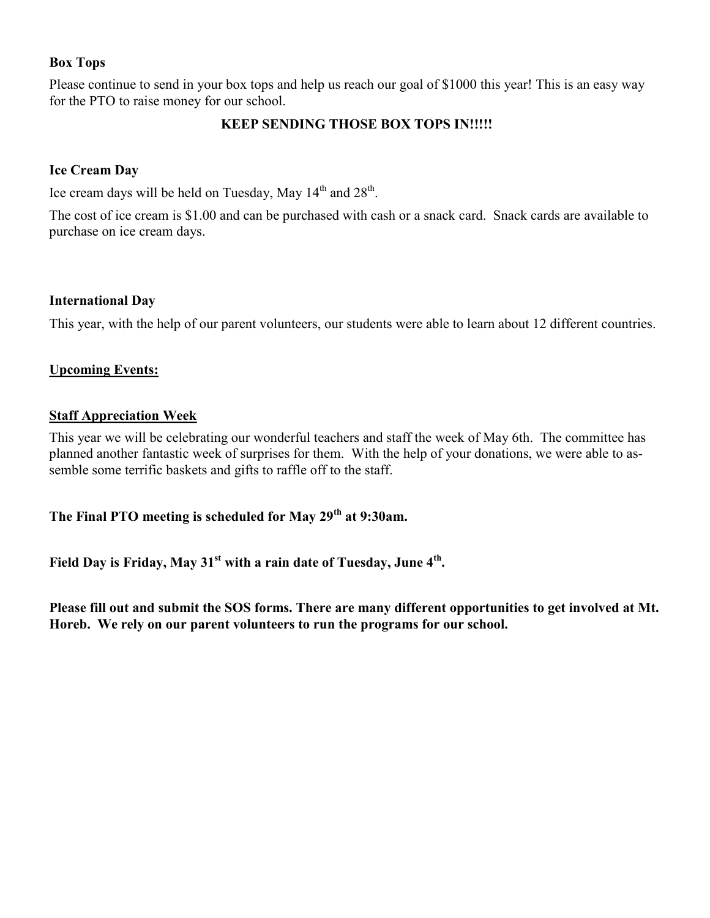# **Box Tops**

Please continue to send in your box tops and help us reach our goal of \$1000 this year! This is an easy way for the PTO to raise money for our school.

# **KEEP SENDING THOSE BOX TOPS IN!!!!!**

# **Ice Cream Day**

Ice cream days will be held on Tuesday, May  $14<sup>th</sup>$  and  $28<sup>th</sup>$ .

The cost of ice cream is \$1.00 and can be purchased with cash or a snack card. Snack cards are available to purchase on ice cream days.

# **International Day**

This year, with the help of our parent volunteers, our students were able to learn about 12 different countries.

# **Upcoming Events:**

# **Staff Appreciation Week**

This year we will be celebrating our wonderful teachers and staff the week of May 6th. The committee has planned another fantastic week of surprises for them. With the help of your donations, we were able to assemble some terrific baskets and gifts to raffle off to the staff.

**The Final PTO meeting is scheduled for May 29th at 9:30am.** 

**Field Day is Friday, May 31st with a rain date of Tuesday, June 4th .**

**Please fill out and submit the SOS forms. There are many different opportunities to get involved at Mt. Horeb. We rely on our parent volunteers to run the programs for our school.**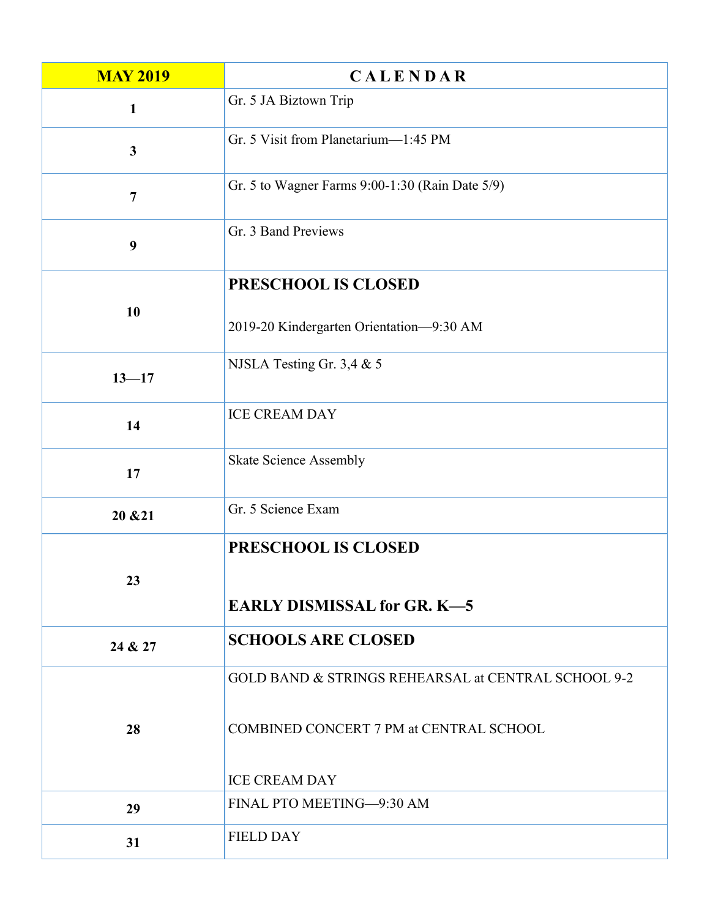| <b>MAY 2019</b> | <b>CALENDAR</b>                                           |
|-----------------|-----------------------------------------------------------|
| $\mathbf{1}$    | Gr. 5 JA Biztown Trip                                     |
| $\mathbf{3}$    | Gr. 5 Visit from Planetarium—1:45 PM                      |
| $\overline{7}$  | Gr. 5 to Wagner Farms 9:00-1:30 (Rain Date 5/9)           |
| 9               | Gr. 3 Band Previews                                       |
| 10              | PRESCHOOL IS CLOSED                                       |
|                 | 2019-20 Kindergarten Orientation-9:30 AM                  |
| $13 - 17$       | NJSLA Testing Gr. 3,4 & 5                                 |
| 14              | <b>ICE CREAM DAY</b>                                      |
| 17              | <b>Skate Science Assembly</b>                             |
| 20 & 21         | Gr. 5 Science Exam                                        |
| 23              | PRESCHOOL IS CLOSED<br><b>EARLY DISMISSAL for GR. K-5</b> |
| 24 & 27         | <b>SCHOOLS ARE CLOSED</b>                                 |
|                 | GOLD BAND & STRINGS REHEARSAL at CENTRAL SCHOOL 9-2       |
| 28              | COMBINED CONCERT 7 PM at CENTRAL SCHOOL                   |
|                 | <b>ICE CREAM DAY</b>                                      |
| 29              | FINAL PTO MEETING-9:30 AM                                 |
| 31              | <b>FIELD DAY</b>                                          |